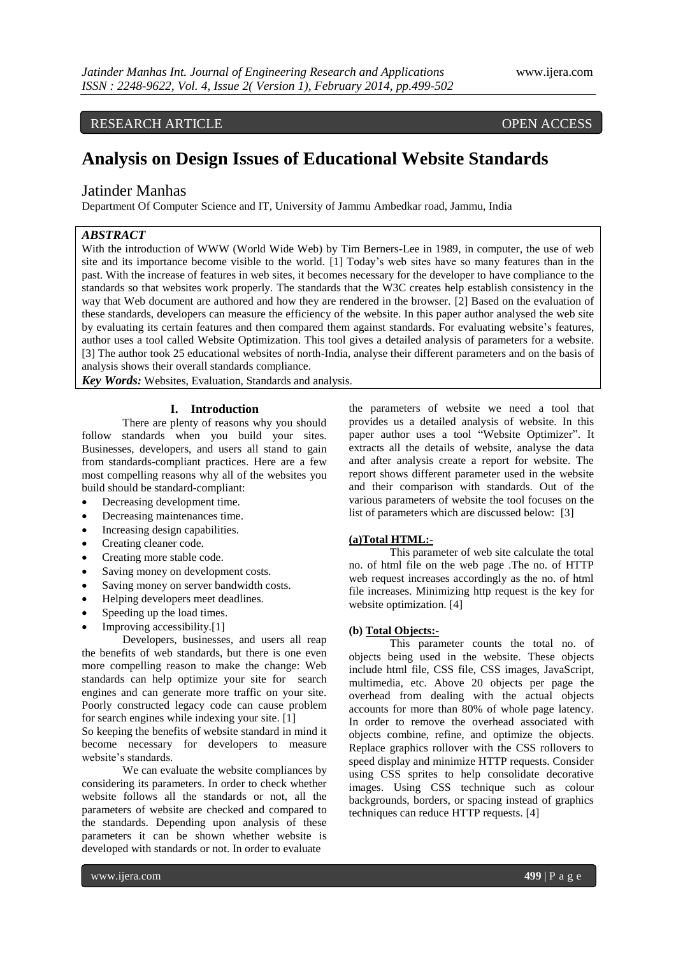# RESEARCH ARTICLE OPEN ACCESS

# **Analysis on Design Issues of Educational Website Standards**

# Jatinder Manhas

Department Of Computer Science and IT, University of Jammu Ambedkar road, Jammu, India

# *ABSTRACT*

With the introduction of WWW (World Wide Web) by Tim Berners-Lee in 1989, in computer, the use of web site and its importance become visible to the world. [1] Today's web sites have so many features than in the past. With the increase of features in web sites, it becomes necessary for the developer to have compliance to the standards so that websites work properly. The standards that the W3C creates help establish consistency in the way that Web document are authored and how they are rendered in the browser. [2] Based on the evaluation of these standards, developers can measure the efficiency of the website. In this paper author analysed the web site by evaluating its certain features and then compared them against standards. For evaluating website's features, author uses a tool called Website Optimization. This tool gives a detailed analysis of parameters for a website. [3] The author took 25 educational websites of north-India, analyse their different parameters and on the basis of analysis shows their overall standards compliance.

*Key Words:* Websites, Evaluation, Standards and analysis.

#### **I. Introduction**

There are plenty of reasons why you should follow standards when you build your sites. Businesses, developers, and users all stand to gain from standards-compliant practices. Here are a few most compelling reasons why all of the websites you build should be standard-compliant:

- Decreasing development time.
- Decreasing maintenances time.
- Increasing design capabilities.
- Creating cleaner code.
- Creating more stable code.
- Saving money on development costs.
- Saving money on server bandwidth costs.
- Helping developers meet deadlines.
- Speeding up the load times.
- Improving accessibility.[1]

Developers, businesses, and users all reap the benefits of web standards, but there is one even more compelling reason to make the change: Web standards can help optimize your site for search engines and can generate more traffic on your site. Poorly constructed legacy code can cause problem for search engines while indexing your site. [1]

So keeping the benefits of website standard in mind it become necessary for developers to measure website's standards.

We can evaluate the website compliances by considering its parameters. In order to check whether website follows all the standards or not, all the parameters of website are checked and compared to the standards. Depending upon analysis of these parameters it can be shown whether website is developed with standards or not. In order to evaluate

the parameters of website we need a tool that provides us a detailed analysis of website. In this paper author uses a tool "Website Optimizer". It extracts all the details of website, analyse the data and after analysis create a report for website. The report shows different parameter used in the website and their comparison with standards. Out of the various parameters of website the tool focuses on the list of parameters which are discussed below: [3]

#### **(a)Total HTML:-**

This parameter of web site calculate the total no. of html file on the web page .The no. of HTTP web request increases accordingly as the no. of html file increases. Minimizing http request is the key for website optimization. [4]

#### **(b) Total Objects:-**

This parameter counts the total no. of objects being used in the website. These objects include html file, CSS file, CSS images, JavaScript, multimedia, etc. Above 20 objects per page the overhead from dealing with the actual objects accounts for more than 80% of whole page latency. In order to remove the overhead associated with objects combine, refine, and optimize the objects. Replace graphics rollover with the CSS rollovers to speed display and minimize HTTP requests. Consider using CSS sprites to help consolidate decorative images. Using CSS technique such as colour backgrounds, borders, or spacing instead of graphics techniques can reduce HTTP requests. [4]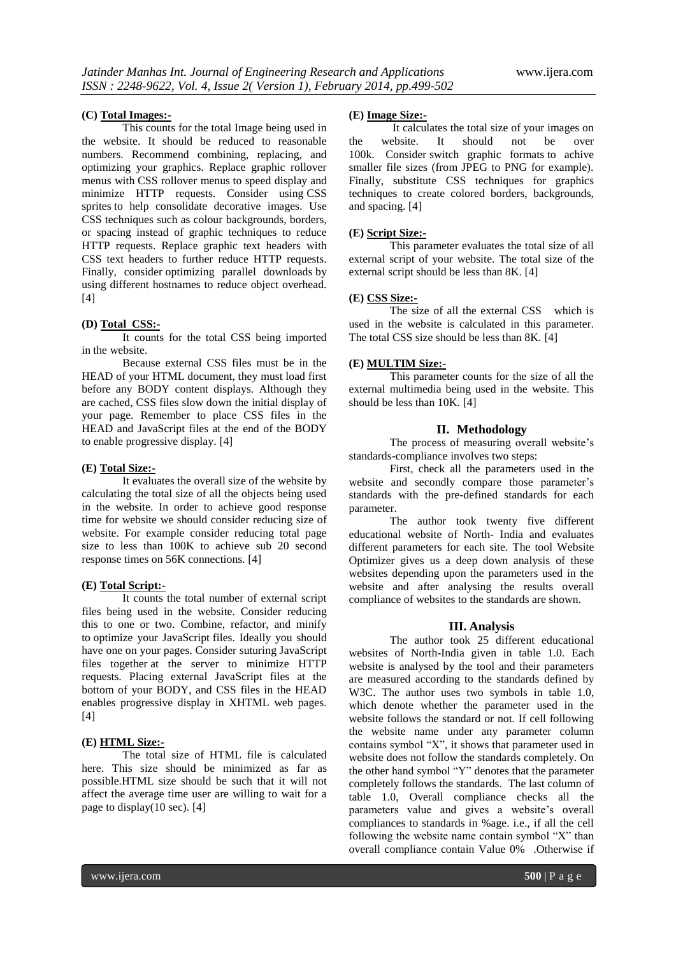#### **(C) Total Images:-**

This counts for the total Image being used in the website. It should be reduced to reasonable numbers. Recommend combining, replacing, and optimizing your graphics. Replace graphic rollover menus with CSS rollover menus to speed display and minimize HTTP requests. Consider using CSS sprites to help consolidate decorative images. Use CSS techniques such as colour backgrounds, borders, or spacing instead of graphic techniques to reduce HTTP requests. Replace graphic text headers with CSS text headers to further reduce HTTP requests. Finally, consider optimizing parallel downloads by using different hostnames to reduce object overhead. [4]

#### **(D) Total CSS:-**

It counts for the total CSS being imported in the website.

Because external CSS files must be in the HEAD of your HTML document, they must load first before any BODY content displays. Although they are cached, CSS files slow down the initial display of your page. Remember to place CSS files in the HEAD and JavaScript files at the end of the BODY to enable progressive display. [4]

#### **(E) Total Size:-**

It evaluates the overall size of the website by calculating the total size of all the objects being used in the website. In order to achieve good response time for website we should consider reducing size of website. For example consider reducing total page size to less than 100K to achieve sub 20 second response times on 56K connections. [4]

#### **(E) Total Script:-**

It counts the total number of external script files being used in the website. Consider reducing this to one or two. Combine, refactor, and minify to optimize your JavaScript files. Ideally you should have one on your pages. Consider suturing JavaScript files together at the server to minimize HTTP requests. Placing external JavaScript files at the bottom of your BODY, and CSS files in the HEAD enables progressive display in XHTML web pages.  $[4]$ 

#### **(E) HTML Size:-**

The total size of HTML file is calculated here. This size should be minimized as far as possible.HTML size should be such that it will not affect the average time user are willing to wait for a page to display(10 sec). [4]

#### **(E) Image Size:-**

It calculates the total size of your images on the website. It should not be over 100k. Consider switch graphic formats to achive smaller file sizes (from JPEG to PNG for example). Finally, substitute CSS techniques for graphics techniques to create colored borders, backgrounds, and spacing. [4]

#### **(E) Script Size:-**

This parameter evaluates the total size of all external script of your website. The total size of the external script should be less than 8K. [4]

#### **(E) CSS Size:-**

The size of all the external CSS which is used in the website is calculated in this parameter. The total CSS size should be less than 8K. [4]

## **(E) MULTIM Size:-**

This parameter counts for the size of all the external multimedia being used in the website. This should be less than 10K. [4]

## **II. Methodology**

The process of measuring overall website's standards-compliance involves two steps:

First, check all the parameters used in the website and secondly compare those parameter's standards with the pre-defined standards for each parameter.

The author took twenty five different educational website of North- India and evaluates different parameters for each site. The tool Website Optimizer gives us a deep down analysis of these websites depending upon the parameters used in the website and after analysing the results overall compliance of websites to the standards are shown.

#### **III. Analysis**

The author took 25 different educational websites of North-India given in table 1.0. Each website is analysed by the tool and their parameters are measured according to the standards defined by W3C. The author uses two symbols in table 1.0, which denote whether the parameter used in the website follows the standard or not. If cell following the website name under any parameter column contains symbol "X", it shows that parameter used in website does not follow the standards completely. On the other hand symbol "Y" denotes that the parameter completely follows the standards. The last column of table 1.0, Overall compliance checks all the parameters value and gives a website's overall compliances to standards in %age. i.e., if all the cell following the website name contain symbol "X" than overall compliance contain Value 0% .Otherwise if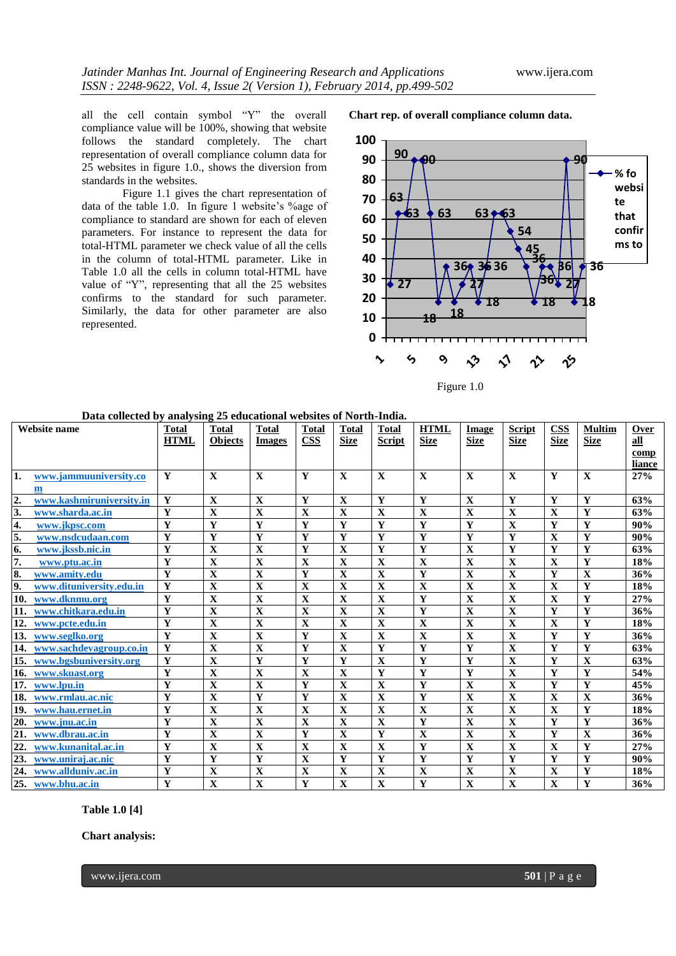all the cell contain symbol "Y" the overall compliance value will be 100%, showing that website follows the standard completely. The chart representation of overall compliance column data for 25 websites in figure 1.0., shows the diversion from standards in the websites.

Figure 1.1 gives the chart representation of data of the table 1.0. In figure 1 website's %age of compliance to standard are shown for each of eleven parameters. For instance to represent the data for total-HTML parameter we check value of all the cells in the column of total-HTML parameter. Like in Table 1.0 all the cells in column total-HTML have value of "Y", representing that all the 25 websites confirms to the standard for such parameter. Similarly, the data for other parameter are also represented.

**Chart rep. of overall compliance column data.**



Figure 1.0

| Website name     |                             | Total                   | <b>Total</b>            | <b>Total</b>            | <b>Total</b>            | <b>Total</b>            | Total                   | <b>HTML</b>  | Image                   | <b>Script</b>           | <b>CSS</b>              | <b>Multim</b>           | Over   |
|------------------|-----------------------------|-------------------------|-------------------------|-------------------------|-------------------------|-------------------------|-------------------------|--------------|-------------------------|-------------------------|-------------------------|-------------------------|--------|
|                  |                             | <b>HTML</b>             | <b>Objects</b>          | <b>Images</b>           | $\overline{\text{CSS}}$ | <b>Size</b>             | <b>Script</b>           | <b>Size</b>  | <b>Size</b>             | <b>Size</b>             | <b>Size</b>             | <b>Size</b>             | all    |
|                  |                             |                         |                         |                         |                         |                         |                         |              |                         |                         |                         |                         | comp   |
|                  |                             |                         |                         |                         |                         |                         |                         |              |                         |                         |                         |                         | liance |
| 1.               | www.jammuuniversity.co      | Y                       | $\mathbf{x}$            | $\mathbf{X}$            | Y                       | $\mathbf{X}$            | $\mathbf X$             | $\mathbf{x}$ | $\mathbf X$             | $\mathbf{X}$            | Y                       | $\mathbf X$             | 27%    |
|                  | m                           |                         |                         |                         |                         |                         |                         |              |                         |                         |                         |                         |        |
| $\overline{2}$ . | www.kashmiruniversity.in    | Y                       | $\mathbf X$             | $\mathbf X$             | Y                       | $\mathbf X$             | Y                       | Y            | $\mathbf X$             | Y                       | $\mathbf{Y}$            | Y                       | 63%    |
| 3.               | www.sharda.ac.in            | Y                       | $\mathbf X$             | $\mathbf X$             | $\mathbf X$             | $\mathbf X$             | X                       | $\mathbf X$  | $\mathbf X$             | $\mathbf X$             | $\mathbf X$             | $\mathbf Y$             | 63%    |
| 4.               | www.jkpsc.com               | Y                       | Y                       | Y                       | Y                       | Y                       | Y                       | Y            | Y                       | X                       | Y                       | Y                       | 90%    |
| 5.               | www.nsdcudaan.com           | Y                       | $\mathbf{Y}$            | Y                       | Y                       | $\overline{\mathbf{Y}}$ | Y                       | Y            | Y                       | Y                       | $\mathbf{X}$            | $\mathbf Y$             | 90%    |
| 6.               | www.ikssb.nic.in            | Y                       | $\mathbf X$             | X                       | Y                       | $\mathbf X$             | Y                       | Y            | X                       | Y                       | Y                       | Y                       | 63%    |
| 7.               | www.ptu.ac.in               | Y                       | $\mathbf X$             | $\mathbf{X}$            | $\mathbf{X}$            | $\mathbf{X}$            | $\mathbf{X}$            | $\mathbf{X}$ | $\mathbf{X}$            | $\mathbf{X}$            | $\mathbf{X}$            | Y                       | 18%    |
| 8.               | www.amitv.edu               | Y                       | $\mathbf X$             | $\mathbf X$             | Y                       | $\mathbf X$             | $\mathbf X$             | Y            | X                       | X                       | Y                       | $\mathbf X$             | 36%    |
| 9.               | www.dituniversity.edu.in    | Y                       | $\overline{\mathbf{X}}$ | $\mathbf X$             | $\mathbf X$             | $\overline{\mathbf{X}}$ | $\mathbf X$             | $\mathbf X$  | $\mathbf X$             | $\mathbf X$             | $\mathbf X$             | $\mathbf Y$             | 18%    |
|                  | 10. www.dknmu.org           | Y                       | $\mathbf X$             | $\mathbf X$             | X                       | $\mathbf X$             | $\mathbf X$             | Y            | X                       | X                       | $\mathbf X$             | Y                       | 27%    |
|                  | 11. www.chitkara.edu.in     | Y                       | $\overline{\mathbf{X}}$ | $\mathbf X$             | $\mathbf X$             | $\mathbf X$             | $\mathbf X$             | Y            | $\mathbf X$             | $\mathbf X$             | Y                       | $\mathbf Y$             | 36%    |
|                  | 12. www.pcte.edu.in         | Y                       | $\overline{\mathbf{X}}$ | $\overline{\mathbf{X}}$ | $\mathbf X$             | $\overline{\mathbf{X}}$ | $\overline{\mathbf{X}}$ | $\mathbf X$  | $\mathbf X$             | $\overline{\mathbf{X}}$ | $\overline{\mathbf{X}}$ | $\overline{\mathbf{Y}}$ | 18%    |
|                  | 13. www.seglko.org          | $\mathbf{Y}$            | $\mathbf X$             | $\mathbf X$             | Y                       | $\overline{\mathbf{X}}$ | $\mathbf X$             | $\mathbf{X}$ | $\mathbf X$             | $\mathbf{X}$            | Y                       | $\mathbf Y$             | 36%    |
|                  | 14. www.sachdevagroup.co.in | Y                       | $\overline{\mathbf{X}}$ | $\mathbf X$             | Y                       | $\mathbf X$             | Y                       | Y            | Y                       | $\mathbf X$             | Y                       | $\mathbf Y$             | 63%    |
|                  | 15. www.bgsbuniversity.org  | Y                       | $\mathbf X$             | Y                       | Y                       | Y                       | $\mathbf X$             | Y            | Y                       | $\mathbf{X}$            | Y                       | $\mathbf X$             | 63%    |
|                  | 16. www.skuast.org          | $\overline{\mathbf{Y}}$ | $\overline{\mathbf{X}}$ | $\overline{\mathbf{X}}$ | $\overline{\mathbf{X}}$ | $\overline{\mathbf{X}}$ | $\overline{\mathbf{Y}}$ | $\mathbf Y$  | $\mathbf Y$             | $\overline{\mathbf{X}}$ | $\overline{\mathbf{Y}}$ | Y                       | 54%    |
|                  | 17. www.lpu.in              | Y                       | $\overline{\mathbf{X}}$ | $\overline{\mathbf{X}}$ | Y                       | $\overline{\mathbf{X}}$ | $\overline{\mathbf{X}}$ | Y            | $\overline{\mathbf{X}}$ | $\overline{\mathbf{X}}$ | $\mathbf{Y}$            | $\overline{\mathbf{Y}}$ | 45%    |
|                  | 18. www.rmlau.ac.nic        | Y                       | $\overline{\mathbf{X}}$ | $\overline{\mathbf{Y}}$ | Y                       | $\overline{\mathbf{X}}$ | $\overline{\mathbf{X}}$ | Y            | $\overline{\mathbf{X}}$ | $\overline{\mathbf{X}}$ | $\overline{\mathbf{X}}$ | $\overline{\mathbf{X}}$ | 36%    |
|                  | 19. www.hau.ernet.in        | Y                       | $\mathbf X$             | $\overline{\mathbf{X}}$ | $\mathbf X$             | $\overline{\mathbf{X}}$ | X                       | $\mathbf{X}$ | $\mathbf X$             | $\mathbf X$             | $\mathbf{X}$            | $\overline{\mathbf{Y}}$ | 18%    |
|                  | 20. www.jnu.ac.in           | Y                       | $\mathbf X$             | $\overline{\mathbf{X}}$ | $\mathbf X$             | $\mathbf X$             | $\overline{\mathbf{X}}$ | Y            | $\mathbf X$             | $\mathbf X$             | $\mathbf Y$             | $\overline{\mathbf{Y}}$ | 36%    |
|                  | 21. www.dbrau.ac.in         | Y                       | $\mathbf X$             | $\mathbf X$             | Y                       | $\overline{\mathbf{X}}$ | Y                       | $\mathbf{X}$ | $\mathbf X$             | $\mathbf{X}$            | Y                       | $\mathbf X$             | 36%    |
|                  | 22. www.kunanital.ac.in     | Y                       | $\mathbf{X}$            | $\mathbf X$             | $\mathbf{X}$            | $\mathbf X$             | $\mathbf X$             | Y            | $\mathbf X$             | $\mathbf{X}$            | $\mathbf X$             | Y                       | 27%    |
|                  | 23. www.uniraj.ac.nic       | Y                       | Y                       | Y                       | $\mathbf X$             | Y                       | Y                       | Y            | Y                       | Y                       | Y                       | Y                       | 90%    |
|                  | 24. www.allduniv.ac.in      | Y                       | $\mathbf X$             | $\mathbf X$             | $\mathbf X$             | $\mathbf X$             | $\overline{\mathbf{X}}$ | $\mathbf{X}$ | $\mathbf X$             | $\mathbf X$             | $\mathbf X$             | $\mathbf Y$             | 18%    |
|                  | 25. www.bhu.ac.in           | $\mathbf Y$             | $\mathbf X$             | $\mathbf X$             | Y                       | $\mathbf X$             | $\mathbf X$             | $\mathbf{Y}$ | $\mathbf X$             | $\mathbf X$             | $\overline{\mathbf{X}}$ | $\mathbf Y$             | 36%    |

**Data collected by analysing 25 educational websites of North-India.**

**Table 1.0 [4]**

**Chart analysis:**

www.ijera.com **501** | P a g e